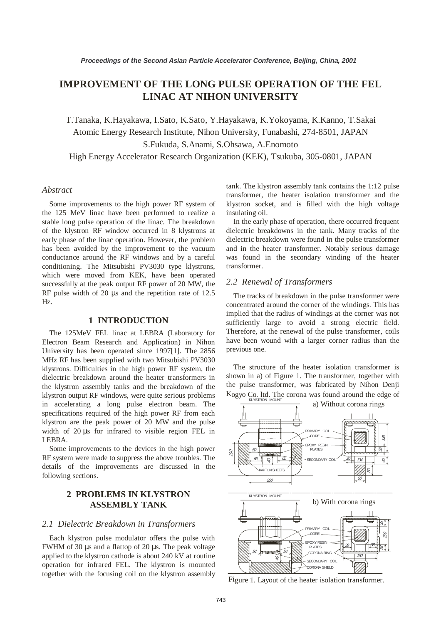# **IMPROVEMENT OF THE LONG PULSE OPERATION OF THE FEL LINAC AT NIHON UNIVERSITY**

T.Tanaka, K.Hayakawa, I.Sato, K.Sato, Y.Hayakawa, K.Yokoyama, K.Kanno, T.Sakai Atomic Energy Research Institute, Nihon University, Funabashi, 274-8501, JAPAN S.Fukuda, S.Anami, S.Ohsawa, A.Enomoto

High Energy Accelerator Research Organization (KEK), Tsukuba, 305-0801, JAPAN

### *Abstract*

Some improvements to the high power RF system of the 125 MeV linac have been performed to realize a stable long pulse operation of the linac. The breakdown of the klystron RF window occurred in 8 klystrons at early phase of the linac operation. However, the problem has been avoided by the improvement to the vacuum conductance around the RF windows and by a careful conditioning. The Mitsubishi PV3030 type klystrons, which were moved from KEK, have been operated successfully at the peak output RF power of 20 MW, the RF pulse width of 20 µs and the repetition rate of 12.5 Hz.

### **1 INTRODUCTION**

The 125MeV FEL linac at LEBRA (Laboratory for Electron Beam Research and Application) in Nihon University has been operated since 1997[1]. The 2856 MHz RF has been supplied with two Mitsubishi PV3030 klystrons. Difficulties in the high power RF system, the dielectric breakdown around the heater transformers in the klystron assembly tanks and the breakdown of the klystron output RF windows, were quite serious problems in accelerating a long pulse electron beam. The specifications required of the high power RF from each klystron are the peak power of 20 MW and the pulse width of 20 µs for infrared to visible region FEL in LEBRA.

Some improvements to the devices in the high power RF system were made to suppress the above troubles. The details of the improvements are discussed in the following sections.

# **2 PROBLEMS IN KLYSTRON ASSEMBLY TANK**

### *2.1 Dielectric Breakdown in Transformers*

Each klystron pulse modulator offers the pulse with FWHM of 30 µs and a flattop of 20 µs. The peak voltage applied to the klystron cathode is about 240 kV at routine operation for infrared FEL. The klystron is mounted together with the focusing coil on the klystron assembly tank. The klystron assembly tank contains the 1:12 pulse transformer, the heater isolation transformer and the klystron socket, and is filled with the high voltage insulating oil.

In the early phase of operation, there occurred frequent dielectric breakdowns in the tank. Many tracks of the dielectric breakdown were found in the pulse transformer and in the heater transformer. Notably serious damage was found in the secondary winding of the heater transformer.

# *2.2 Renewal of Transformers*

The tracks of breakdown in the pulse transformer were concentrated around the corner of the windings. This has implied that the radius of windings at the corner was not sufficiently large to avoid a strong electric field. Therefore, at the renewal of the pulse transformer, coils have been wound with a larger corner radius than the previous one.

The structure of the heater isolation transformer is shown in a) of Figure 1. The transformer, together with the pulse transformer, was fabricated by Nihon Denji  $K_{OgyO}$  Co. ltd. The corona was found around the edge of



Figure 1. Layout of the heater isolation transformer.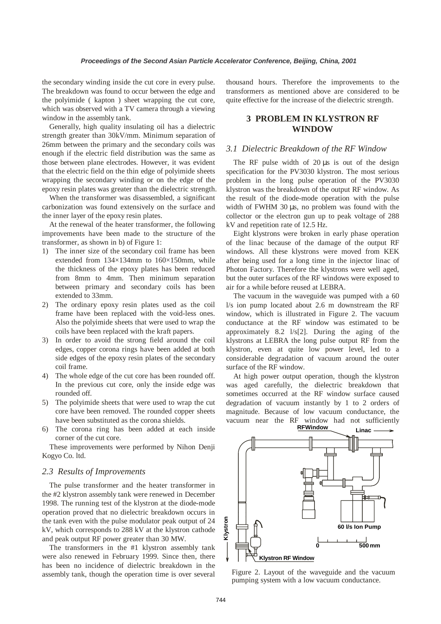the secondary winding inside the cut core in every pulse. The breakdown was found to occur between the edge and the polyimide ( kapton ) sheet wrapping the cut core, which was observed with a TV camera through a viewing window in the assembly tank.

Generally, high quality insulating oil has a dielectric strength greater than 30kV/mm. Minimum separation of 26mm between the primary and the secondary coils was enough if the electric field distribution was the same as those between plane electrodes. However, it was evident that the electric field on the thin edge of polyimide sheets wrapping the secondary winding or on the edge of the epoxy resin plates was greater than the dielectric strength.

When the transformer was disassembled, a significant carbonization was found extensively on the surface and the inner layer of the epoxy resin plates.

At the renewal of the heater transformer, the following improvements have been made to the structure of the transformer, as shown in b) of Figure 1:

- 1) The inner size of the secondary coil frame has been extended from 134×134mm to 160×150mm, while the thickness of the epoxy plates has been reduced from 8mm to 4mm. Then minimum separation between primary and secondary coils has been extended to 33mm.
- 2) The ordinary epoxy resin plates used as the coil frame have been replaced with the void-less ones. Also the polyimide sheets that were used to wrap the coils have been replaced with the kraft papers.
- 3) In order to avoid the strong field around the coil edges, copper corona rings have been added at both side edges of the epoxy resin plates of the secondary coil frame.
- 4) The whole edge of the cut core has been rounded off. In the previous cut core, only the inside edge was rounded off.
- 5) The polyimide sheets that were used to wrap the cut core have been removed. The rounded copper sheets have been substituted as the corona shields.
- 6) The corona ring has been added at each inside corner of the cut core.

These improvements were performed by Nihon Denji Kogyo Co. ltd.

#### *2.3 Results of Improvements*

The pulse transformer and the heater transformer in the #2 klystron assembly tank were renewed in December 1998. The running test of the klystron at the diode-mode operation proved that no dielectric breakdown occurs in the tank even with the pulse modulator peak output of 24 kV, which corresponds to 288 kV at the klystron cathode and peak output RF power greater than 30 MW.

The transformers in the #1 klystron assembly tank were also renewed in February 1999. Since then, there has been no incidence of dielectric breakdown in the assembly tank, though the operation time is over several

thousand hours. Therefore the improvements to the transformers as mentioned above are considered to be quite effective for the increase of the dielectric strength.

# **3 PROBLEM IN KLYSTRON RF WINDOW**

# *3.1 Dielectric Breakdown of the RF Window*

The RF pulse width of 20 µs is out of the design specification for the PV3030 klystron. The most serious problem in the long pulse operation of the PV3030 klystron was the breakdown of the output RF window. As the result of the diode-mode operation with the pulse width of FWHM 30 µs, no problem was found with the collector or the electron gun up to peak voltage of 288 kV and repetition rate of 12.5 Hz.

Eight klystrons were broken in early phase operation of the linac because of the damage of the output RF windows. All these klystrons were moved from KEK after being used for a long time in the injector linac of Photon Factory. Therefore the klystrons were well aged, but the outer surfaces of the RF windows were exposed to air for a while before reused at LEBRA.

The vacuum in the waveguide was pumped with a 60 l/s ion pump located about 2.6 m downstream the RF window, which is illustrated in Figure 2. The vacuum conductance at the RF window was estimated to be approximately 8.2 l/s[2]. During the aging of the klystrons at LEBRA the long pulse output RF from the klystron, even at quite low power level, led to a considerable degradation of vacuum around the outer surface of the RF window.

At high power output operation, though the klystron was aged carefully, the dielectric breakdown that sometimes occurred at the RF window surface caused degradation of vacuum instantly by 1 to 2 orders of magnitude. Because of low vacuum conductance, the vacuum near the RF window had not sufficiently **RFWindow**



Figure 2. Layout of the waveguide and the vacuum pumping system with a low vacuum conductance.